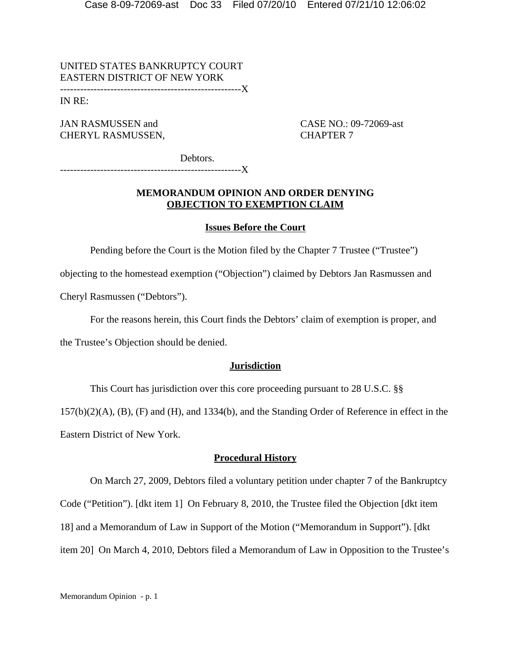UNITED STATES BANKRUPTCY COURT EASTERN DISTRICT OF NEW YORK ------------------------------------------------------X

IN RE:

JAN RASMUSSEN and CASE NO.: 09-72069-ast CHERYL RASMUSSEN, CHAPTER 7

Debtors.

------------------------------------------------------X

# **MEMORANDUM OPINION AND ORDER DENYING OBJECTION TO EXEMPTION CLAIM**

# **Issues Before the Court**

Pending before the Court is the Motion filed by the Chapter 7 Trustee ("Trustee")

objecting to the homestead exemption ("Objection") claimed by Debtors Jan Rasmussen and

Cheryl Rasmussen ("Debtors").

For the reasons herein, this Court finds the Debtors' claim of exemption is proper, and

the Trustee's Objection should be denied.

### **Jurisdiction**

This Court has jurisdiction over this core proceeding pursuant to 28 U.S.C. §§

157(b)(2)(A), (B), (F) and (H), and 1334(b), and the Standing Order of Reference in effect in the Eastern District of New York.

### **Procedural History**

On March 27, 2009, Debtors filed a voluntary petition under chapter 7 of the Bankruptcy Code ("Petition"). [dkt item 1] On February 8, 2010, the Trustee filed the Objection [dkt item 18] and a Memorandum of Law in Support of the Motion ("Memorandum in Support"). [dkt item 20] On March 4, 2010, Debtors filed a Memorandum of Law in Opposition to the Trustee's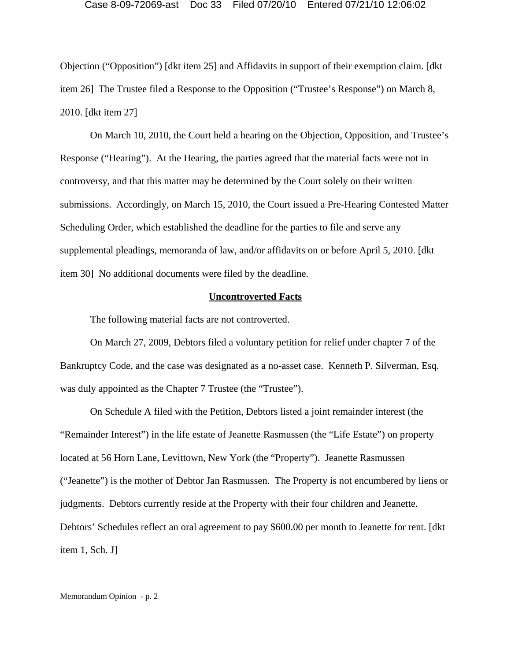Objection ("Opposition") [dkt item 25] and Affidavits in support of their exemption claim. [dkt item 26] The Trustee filed a Response to the Opposition ("Trustee's Response") on March 8, 2010. [dkt item 27]

On March 10, 2010, the Court held a hearing on the Objection, Opposition, and Trustee's Response ("Hearing"). At the Hearing, the parties agreed that the material facts were not in controversy, and that this matter may be determined by the Court solely on their written submissions. Accordingly, on March 15, 2010, the Court issued a Pre-Hearing Contested Matter Scheduling Order, which established the deadline for the parties to file and serve any supplemental pleadings, memoranda of law, and/or affidavits on or before April 5, 2010. [dkt item 30] No additional documents were filed by the deadline.

# **Uncontroverted Facts**

The following material facts are not controverted.

On March 27, 2009, Debtors filed a voluntary petition for relief under chapter 7 of the Bankruptcy Code, and the case was designated as a no-asset case. Kenneth P. Silverman, Esq. was duly appointed as the Chapter 7 Trustee (the "Trustee").

On Schedule A filed with the Petition, Debtors listed a joint remainder interest (the "Remainder Interest") in the life estate of Jeanette Rasmussen (the "Life Estate") on property located at 56 Horn Lane, Levittown, New York (the "Property"). Jeanette Rasmussen ("Jeanette") is the mother of Debtor Jan Rasmussen. The Property is not encumbered by liens or judgments. Debtors currently reside at the Property with their four children and Jeanette. Debtors' Schedules reflect an oral agreement to pay \$600.00 per month to Jeanette for rent. [dkt item 1, Sch. J]

Memorandum Opinion - p. 2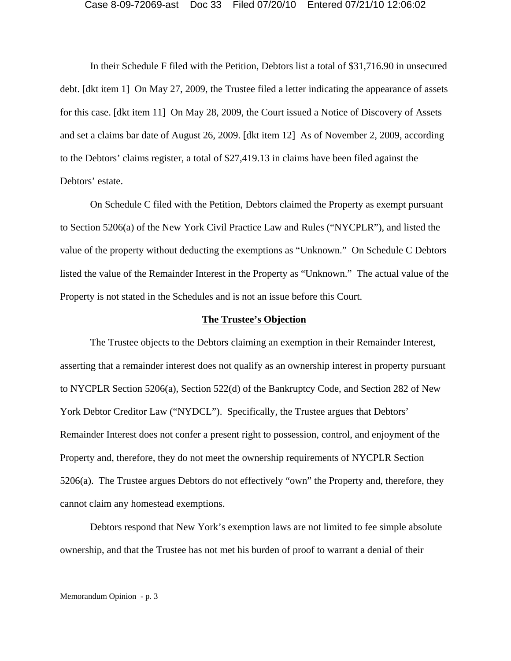In their Schedule F filed with the Petition, Debtors list a total of \$31,716.90 in unsecured debt. [dkt item 1] On May 27, 2009, the Trustee filed a letter indicating the appearance of assets for this case. [dkt item 11] On May 28, 2009, the Court issued a Notice of Discovery of Assets and set a claims bar date of August 26, 2009. [dkt item 12] As of November 2, 2009, according to the Debtors' claims register, a total of \$27,419.13 in claims have been filed against the Debtors' estate.

On Schedule C filed with the Petition, Debtors claimed the Property as exempt pursuant to Section 5206(a) of the New York Civil Practice Law and Rules ("NYCPLR"), and listed the value of the property without deducting the exemptions as "Unknown." On Schedule C Debtors listed the value of the Remainder Interest in the Property as "Unknown." The actual value of the Property is not stated in the Schedules and is not an issue before this Court.

#### **The Trustee's Objection**

The Trustee objects to the Debtors claiming an exemption in their Remainder Interest, asserting that a remainder interest does not qualify as an ownership interest in property pursuant to NYCPLR Section 5206(a), Section 522(d) of the Bankruptcy Code, and Section 282 of New York Debtor Creditor Law ("NYDCL"). Specifically, the Trustee argues that Debtors' Remainder Interest does not confer a present right to possession, control, and enjoyment of the Property and, therefore, they do not meet the ownership requirements of NYCPLR Section 5206(a). The Trustee argues Debtors do not effectively "own" the Property and, therefore, they cannot claim any homestead exemptions.

Debtors respond that New York's exemption laws are not limited to fee simple absolute ownership, and that the Trustee has not met his burden of proof to warrant a denial of their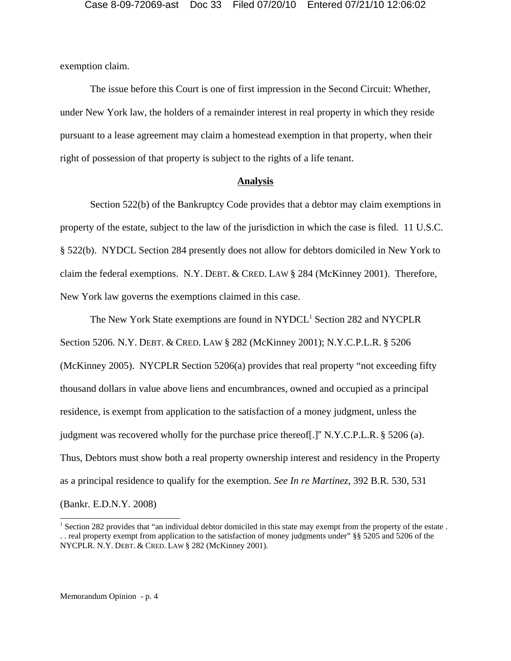exemption claim.

The issue before this Court is one of first impression in the Second Circuit: Whether, under New York law, the holders of a remainder interest in real property in which they reside pursuant to a lease agreement may claim a homestead exemption in that property, when their right of possession of that property is subject to the rights of a life tenant.

### **Analysis**

Section 522(b) of the Bankruptcy Code provides that a debtor may claim exemptions in property of the estate, subject to the law of the jurisdiction in which the case is filed. 11 U.S.C. § 522(b). NYDCL Section 284 presently does not allow for debtors domiciled in New York to claim the federal exemptions. N.Y. DEBT. & CRED. LAW § 284 (McKinney 2001). Therefore, New York law governs the exemptions claimed in this case.

The New York State exemptions are found in NYDCL<sup>1</sup> Section 282 and NYCPLR Section 5206. N.Y. DEBT. & CRED. LAW § 282 (McKinney 2001); N.Y.C.P.L.R. § 5206 (McKinney 2005). NYCPLR Section 5206(a) provides that real property "not exceeding fifty thousand dollars in value above liens and encumbrances, owned and occupied as a principal residence, is exempt from application to the satisfaction of a money judgment, unless the judgment was recovered wholly for the purchase price thereof[.]" N.Y.C.P.L.R. § 5206 (a). Thus, Debtors must show both a real property ownership interest and residency in the Property as a principal residence to qualify for the exemption. *See In re Martinez*, 392 B.R. 530, 531 (Bankr. E.D.N.Y. 2008)

<sup>&</sup>lt;sup>1</sup> Section 282 provides that "an individual debtor domiciled in this state may exempt from the property of the estate. . . real property exempt from application to the satisfaction of money judgments under" §§ 5205 and 5206 of the NYCPLR. N.Y. DEBT. & CRED. LAW § 282 (McKinney 2001).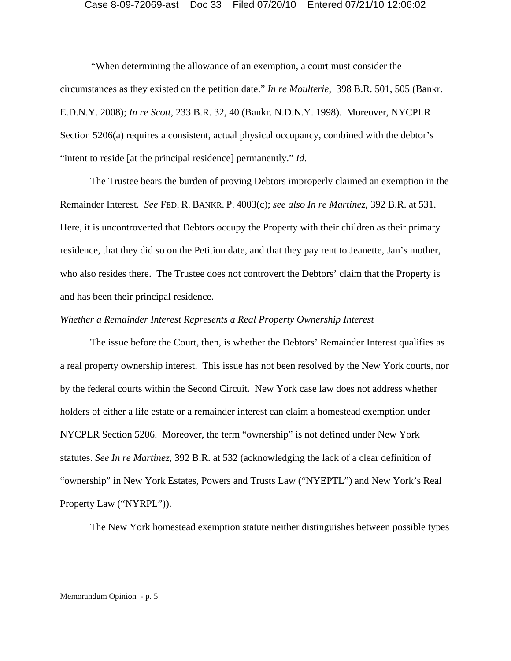*"*When determining the allowance of an exemption, a court must consider the circumstances as they existed on the petition date." *In re Moulterie*, 398 B.R. 501, 505 (Bankr. E.D.N.Y. 2008); *In re Scott*, 233 B.R. 32, 40 (Bankr. N.D.N.Y. 1998). Moreover, NYCPLR Section 5206(a) requires a consistent, actual physical occupancy, combined with the debtor's "intent to reside [at the principal residence] permanently." *Id*.

The Trustee bears the burden of proving Debtors improperly claimed an exemption in the Remainder Interest. *See* FED. R. BANKR. P. 4003(c); *see also In re Martinez*, 392 B.R. at 531. Here, it is uncontroverted that Debtors occupy the Property with their children as their primary residence, that they did so on the Petition date, and that they pay rent to Jeanette, Jan's mother, who also resides there. The Trustee does not controvert the Debtors' claim that the Property is and has been their principal residence.

# *Whether a Remainder Interest Represents a Real Property Ownership Interest*

The issue before the Court, then, is whether the Debtors' Remainder Interest qualifies as a real property ownership interest. This issue has not been resolved by the New York courts, nor by the federal courts within the Second Circuit. New York case law does not address whether holders of either a life estate or a remainder interest can claim a homestead exemption under NYCPLR Section 5206. Moreover, the term "ownership" is not defined under New York statutes. *See In re Martinez*, 392 B.R. at 532 (acknowledging the lack of a clear definition of "ownership" in New York Estates, Powers and Trusts Law ("NYEPTL") and New York's Real Property Law ("NYRPL")).

The New York homestead exemption statute neither distinguishes between possible types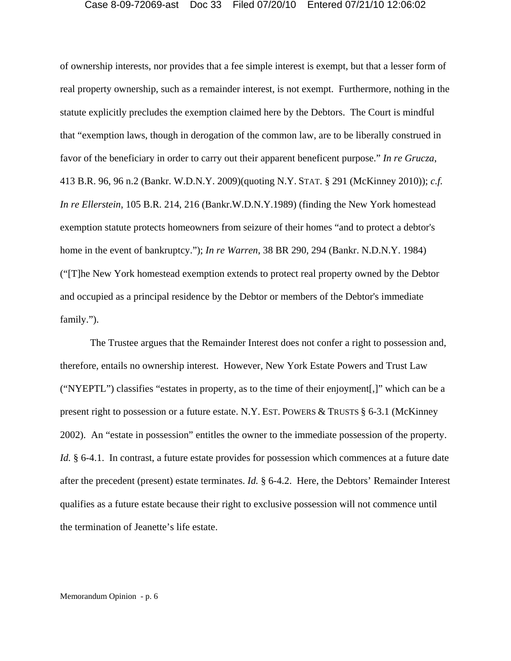of ownership interests, nor provides that a fee simple interest is exempt, but that a lesser form of real property ownership, such as a remainder interest, is not exempt. Furthermore, nothing in the statute explicitly precludes the exemption claimed here by the Debtors. The Court is mindful that "exemption laws, though in derogation of the common law, are to be liberally construed in favor of the beneficiary in order to carry out their apparent beneficent purpose." *In re Grucza*, 413 B.R. 96, 96 n.2 (Bankr. W.D.N.Y. 2009)(quoting N.Y. STAT. § 291 (McKinney 2010)); *c.f. In re Ellerstein*, 105 B.R. 214, 216 (Bankr.W.D.N.Y.1989) (finding the New York homestead exemption statute protects homeowners from seizure of their homes "and to protect a debtor's home in the event of bankruptcy."); *In re Warren*, 38 BR 290, 294 (Bankr. N.D.N.Y. 1984) ("[T]he New York homestead exemption extends to protect real property owned by the Debtor and occupied as a principal residence by the Debtor or members of the Debtor's immediate family.").

The Trustee argues that the Remainder Interest does not confer a right to possession and, therefore, entails no ownership interest. However, New York Estate Powers and Trust Law ("NYEPTL") classifies "estates in property, as to the time of their enjoyment[,]" which can be a present right to possession or a future estate. N.Y. EST. POWERS & TRUSTS § 6-3.1 (McKinney 2002). An "estate in possession" entitles the owner to the immediate possession of the property. *Id.* § 6-4.1. In contrast, a future estate provides for possession which commences at a future date after the precedent (present) estate terminates. *Id.* § 6-4.2. Here, the Debtors' Remainder Interest qualifies as a future estate because their right to exclusive possession will not commence until the termination of Jeanette's life estate.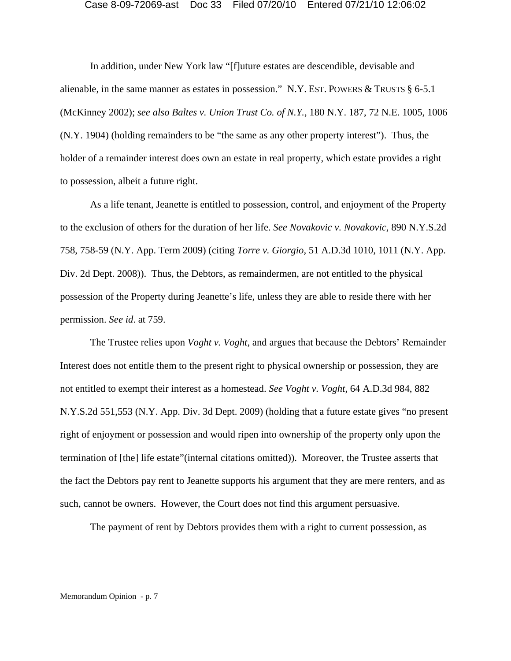In addition, under New York law "[f]uture estates are descendible, devisable and alienable, in the same manner as estates in possession." N.Y. EST. POWERS & TRUSTS § 6-5.1 (McKinney 2002); *see also Baltes v. Union Trust Co. of N.Y.*, 180 N.Y. 187, 72 N.E. 1005, 1006 (N.Y. 1904) (holding remainders to be "the same as any other property interest"). Thus, the holder of a remainder interest does own an estate in real property, which estate provides a right to possession, albeit a future right.

As a life tenant, Jeanette is entitled to possession, control, and enjoyment of the Property to the exclusion of others for the duration of her life. *See Novakovic v. Novakovic*, 890 N.Y.S.2d 758, 758-59 (N.Y. App. Term 2009) (citing *Torre v. Giorgio*, 51 A.D.3d 1010, 1011 (N.Y. App. Div. 2d Dept. 2008)). Thus, the Debtors, as remaindermen, are not entitled to the physical possession of the Property during Jeanette's life, unless they are able to reside there with her permission. *See id*. at 759.

The Trustee relies upon *Voght v. Voght*, and argues that because the Debtors' Remainder Interest does not entitle them to the present right to physical ownership or possession, they are not entitled to exempt their interest as a homestead. *See Voght v. Voght*, 64 A.D.3d 984, 882 N.Y.S.2d 551,553 (N.Y. App. Div. 3d Dept. 2009) (holding that a future estate gives "no present right of enjoyment or possession and would ripen into ownership of the property only upon the termination of [the] life estate"(internal citations omitted)). Moreover, the Trustee asserts that the fact the Debtors pay rent to Jeanette supports his argument that they are mere renters, and as such, cannot be owners. However, the Court does not find this argument persuasive.

The payment of rent by Debtors provides them with a right to current possession, as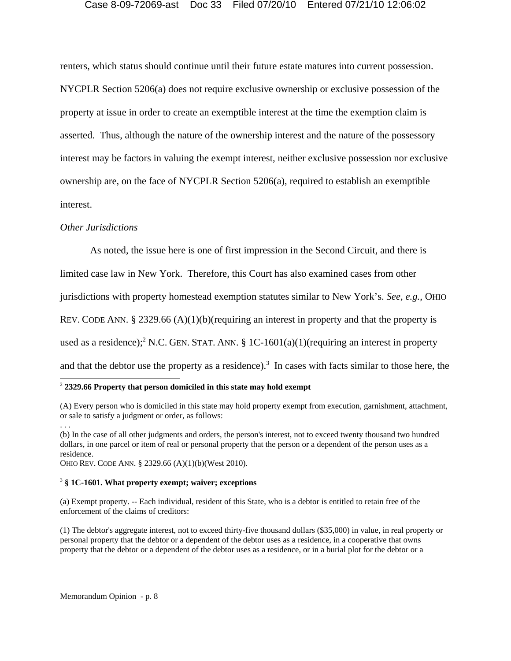renters, which status should continue until their future estate matures into current possession. NYCPLR Section 5206(a) does not require exclusive ownership or exclusive possession of the property at issue in order to create an exemptible interest at the time the exemption claim is asserted. Thus, although the nature of the ownership interest and the nature of the possessory interest may be factors in valuing the exempt interest, neither exclusive possession nor exclusive ownership are, on the face of NYCPLR Section 5206(a), required to establish an exemptible interest.

# *Other Jurisdictions*

As noted, the issue here is one of first impression in the Second Circuit, and there is

limited case law in New York. Therefore, this Court has also examined cases from other

jurisdictions with property homestead exemption statutes similar to New York's. *See, e.g.*, OHIO

REV. CODE ANN. § 2329.66 (A)(1)(b)(requiring an interest in property and that the property is

used as a residence);<sup>2</sup> N.C. GEN. STAT. ANN. § 1C-1601(a)(1)(requiring an interest in property

and that the debtor use the property as a residence).<sup>3</sup> In cases with facts similar to those here, the

# <sup>2</sup> **2329.66 Property that person domiciled in this state may hold exempt**

(b) In the case of all other judgments and orders, the person's interest, not to exceed twenty thousand two hundred dollars, in one parcel or item of real or personal property that the person or a dependent of the person uses as a residence.

OHIO REV. CODE ANN. § 2329.66 (A)(1)(b)(West 2010).

#### 3  **§ 1C-1601. What property exempt; waiver; exceptions**

(a) Exempt property. -- Each individual, resident of this State, who is a debtor is entitled to retain free of the enforcement of the claims of creditors:

(1) The debtor's aggregate interest, not to exceed thirty-five thousand dollars (\$35,000) in value, in real property or personal property that the debtor or a dependent of the debtor uses as a residence, in a cooperative that owns property that the debtor or a dependent of the debtor uses as a residence, or in a burial plot for the debtor or a

<sup>(</sup>A) Every person who is domiciled in this state may hold property exempt from execution, garnishment, attachment, or sale to satisfy a judgment or order, as follows:

<sup>. . .</sup>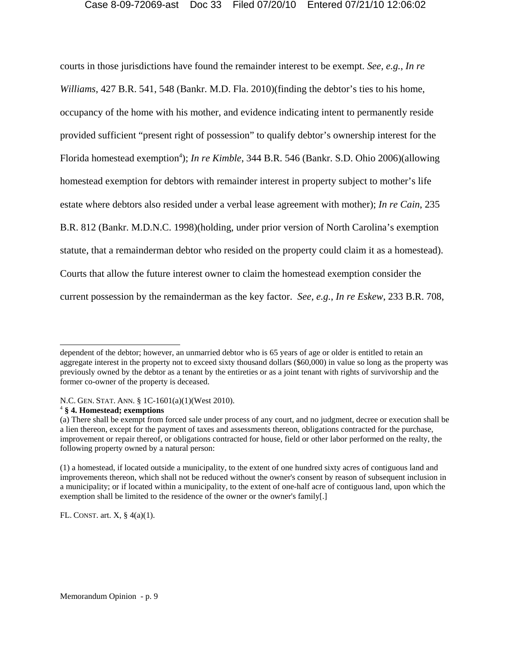courts in those jurisdictions have found the remainder interest to be exempt. *See, e.g.*, *In re Williams*, 427 B.R. 541, 548 (Bankr. M.D. Fla. 2010)(finding the debtor's ties to his home, occupancy of the home with his mother, and evidence indicating intent to permanently reside provided sufficient "present right of possession" to qualify debtor's ownership interest for the Florida homestead exemption<sup>4</sup>); *In re Kimble*, 344 B.R. 546 (Bankr. S.D. Ohio 2006)(allowing homestead exemption for debtors with remainder interest in property subject to mother's life estate where debtors also resided under a verbal lease agreement with mother); *In re Cain*, 235 B.R. 812 (Bankr. M.D.N.C. 1998)(holding, under prior version of North Carolina's exemption statute, that a remainderman debtor who resided on the property could claim it as a homestead). Courts that allow the future interest owner to claim the homestead exemption consider the current possession by the remainderman as the key factor. *See, e.g.*, *In re Eskew*, 233 B.R. 708,

FL. CONST. art.  $X$ ,  $\S$  4(a)(1).

dependent of the debtor; however, an unmarried debtor who is 65 years of age or older is entitled to retain an aggregate interest in the property not to exceed sixty thousand dollars (\$60,000) in value so long as the property was previously owned by the debtor as a tenant by the entireties or as a joint tenant with rights of survivorship and the former co-owner of the property is deceased.

N.C. GEN. STAT. ANN. § 1C-1601(a)(1)(West 2010).

<sup>4</sup>  **§ 4. Homestead; exemptions**

<sup>(</sup>a) There shall be exempt from forced sale under process of any court, and no judgment, decree or execution shall be a lien thereon, except for the payment of taxes and assessments thereon, obligations contracted for the purchase, improvement or repair thereof, or obligations contracted for house, field or other labor performed on the realty, the following property owned by a natural person:

<sup>(1)</sup> a homestead, if located outside a municipality, to the extent of one hundred sixty acres of contiguous land and improvements thereon, which shall not be reduced without the owner's consent by reason of subsequent inclusion in a municipality; or if located within a municipality, to the extent of one-half acre of contiguous land, upon which the exemption shall be limited to the residence of the owner or the owner's family[.]